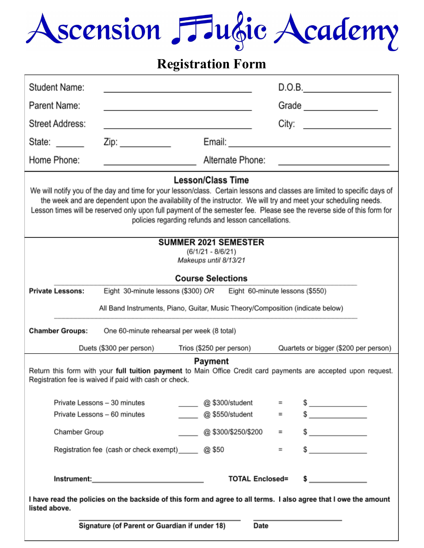# Ascension Fulgie Academy

## **Registration Form**

| Student Name:                                                                                                                                                                                                                                                                                                                                                                                                                                              |                                                                            |                    |     | D.O.B.                                                                                                                |  |  |  |
|------------------------------------------------------------------------------------------------------------------------------------------------------------------------------------------------------------------------------------------------------------------------------------------------------------------------------------------------------------------------------------------------------------------------------------------------------------|----------------------------------------------------------------------------|--------------------|-----|-----------------------------------------------------------------------------------------------------------------------|--|--|--|
| Parent Name:                                                                                                                                                                                                                                                                                                                                                                                                                                               | <u> 1989 - Johann Stein, mars an deus Amerikaansk kommunister (</u>        |                    |     | Grade                                                                                                                 |  |  |  |
| <b>Street Address:</b>                                                                                                                                                                                                                                                                                                                                                                                                                                     | the control of the control of the control of the control of the control of |                    |     | City: _________________________                                                                                       |  |  |  |
| State: <u>___</u>                                                                                                                                                                                                                                                                                                                                                                                                                                          | Zip: ______________                                                        | Email:             |     | <u> 1980 - Johann John Stone, mars et al.</u>                                                                         |  |  |  |
| Home Phone:                                                                                                                                                                                                                                                                                                                                                                                                                                                | <u> 1980 - Johann Barbara, martin a</u>                                    | Alternate Phone:   |     | <u> 1989 - John Harry Harry Harry Harry Harry Harry Harry Harry Harry Harry Harry Harry Harry Harry Harry Harry H</u> |  |  |  |
| <b>Lesson/Class Time</b><br>We will notify you of the day and time for your lesson/class. Certain lessons and classes are limited to specific days of<br>the week and are dependent upon the availability of the instructor. We will try and meet your scheduling needs.<br>Lesson times will be reserved only upon full payment of the semester fee. Please see the reverse side of this form for<br>policies regarding refunds and lesson cancellations. |                                                                            |                    |     |                                                                                                                       |  |  |  |
| <b>SUMMER 2021 SEMESTER</b><br>$(6/1/21 - 8/6/21)$                                                                                                                                                                                                                                                                                                                                                                                                         |                                                                            |                    |     |                                                                                                                       |  |  |  |
| Makeups until 8/13/21                                                                                                                                                                                                                                                                                                                                                                                                                                      |                                                                            |                    |     |                                                                                                                       |  |  |  |
| <b>Course Selections</b>                                                                                                                                                                                                                                                                                                                                                                                                                                   |                                                                            |                    |     |                                                                                                                       |  |  |  |
| <b>Private Lessons:</b><br>Eight 30-minute lessons (\$300) OR Eight 60-minute lessons (\$550)                                                                                                                                                                                                                                                                                                                                                              |                                                                            |                    |     |                                                                                                                       |  |  |  |
| All Band Instruments, Piano, Guitar, Music Theory/Composition (indicate below)                                                                                                                                                                                                                                                                                                                                                                             |                                                                            |                    |     |                                                                                                                       |  |  |  |
| <b>Chamber Groups:</b>                                                                                                                                                                                                                                                                                                                                                                                                                                     | One 60-minute rehearsal per week (8 total)                                 |                    |     |                                                                                                                       |  |  |  |
|                                                                                                                                                                                                                                                                                                                                                                                                                                                            | Duets (\$300 per person) Trios (\$250 per person)                          |                    |     | Quartets or bigger (\$200 per person)                                                                                 |  |  |  |
| Payment<br>Return this form with your full tuition payment to Main Office Credit card payments are accepted upon request.<br>Registration fee is waived if paid with cash or check.                                                                                                                                                                                                                                                                        |                                                                            |                    |     |                                                                                                                       |  |  |  |
| Private Lessons - 30 minutes                                                                                                                                                                                                                                                                                                                                                                                                                               |                                                                            | @ \$300/student    | $=$ | $\frac{1}{2}$                                                                                                         |  |  |  |
| Private Lessons - 60 minutes                                                                                                                                                                                                                                                                                                                                                                                                                               |                                                                            | @ \$550/student    | $=$ | $\frac{1}{2}$                                                                                                         |  |  |  |
| Chamber Group                                                                                                                                                                                                                                                                                                                                                                                                                                              |                                                                            | @\$300/\$250/\$200 | $=$ | $\frac{1}{\sqrt{2}}$                                                                                                  |  |  |  |
|                                                                                                                                                                                                                                                                                                                                                                                                                                                            | Registration fee (cash or check exempt) ______ @ \$50                      |                    | $=$ | $\frac{1}{2}$                                                                                                         |  |  |  |
| <b>TOTAL Enclosed=</b><br>$\sim$<br><u> Instrument:_______________________________</u><br>I have read the policies on the backside of this form and agree to all terms. I also agree that I owe the amount                                                                                                                                                                                                                                                 |                                                                            |                    |     |                                                                                                                       |  |  |  |
| listed above.                                                                                                                                                                                                                                                                                                                                                                                                                                              |                                                                            |                    |     |                                                                                                                       |  |  |  |
| Signature (of Parent or Guardian if under 18)<br><b>Date</b>                                                                                                                                                                                                                                                                                                                                                                                               |                                                                            |                    |     |                                                                                                                       |  |  |  |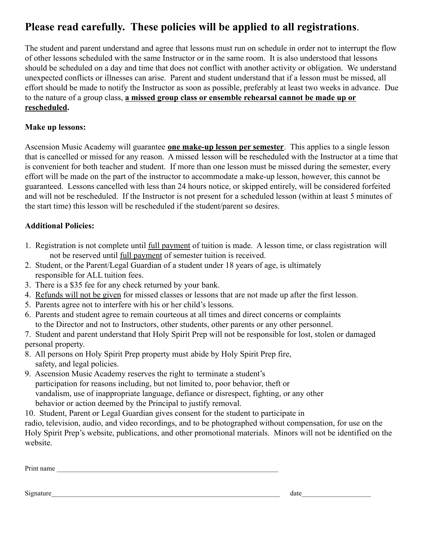### **Please read carefully. These policies will be applied to all registrations**.

The student and parent understand and agree that lessons must run on schedule in order not to interrupt the flow of other lessons scheduled with the same Instructor or in the same room. It is also understood that lessons should be scheduled on a day and time that does not conflict with another activity or obligation. We understand unexpected conflicts or illnesses can arise. Parent and student understand that if a lesson must be missed, all effort should be made to notify the Instructor as soon as possible, preferably at least two weeks in advance. Due to the nature of a group class, **a missed group class or ensemble rehearsal cannot be made up or rescheduled.**

#### **Make up lessons:**

Ascension Music Academy will guarantee **one make-up lesson per semester**. This applies to a single lesson that is cancelled or missed for any reason. A missed lesson will be rescheduled with the Instructor at a time that is convenient for both teacher and student. If more than one lesson must be missed during the semester, every effort will be made on the part of the instructor to accommodate a make-up lesson, however, this cannot be guaranteed. Lessons cancelled with less than 24 hours notice, or skipped entirely, will be considered forfeited and will not be rescheduled. If the Instructor is not present for a scheduled lesson (within at least 5 minutes of the start time) this lesson will be rescheduled if the student/parent so desires.

#### **Additional Policies:**

- 1. Registration is not complete until full payment of tuition is made. A lesson time, or class registration will not be reserved until full payment of semester tuition is received.
- 2. Student, or the Parent/Legal Guardian of a student under 18 years of age, is ultimately responsible for ALL tuition fees.
- 3. There is a \$35 fee for any check returned by your bank.
- 4. Refunds will not be given for missed classes or lessons that are not made up after the first lesson.
- 5. Parents agree not to interfere with his or her child's lessons.
- 6. Parents and student agree to remain courteous at all times and direct concerns or complaints to the Director and not to Instructors, other students, other parents or any other personnel.
- 7. Student and parent understand that Holy Spirit Prep will not be responsible for lost, stolen or damaged personal property.
- 8. All persons on Holy Spirit Prep property must abide by Holy Spirit Prep fire, safety, and legal policies.
- 9. Ascension Music Academy reserves the right to terminate a student's participation for reasons including, but not limited to, poor behavior, theft or vandalism, use of inappropriate language, defiance or disrespect, fighting, or any other behavior or action deemed by the Principal to justify removal.

10. Student, Parent or Legal Guardian gives consent for the student to participate in radio, television, audio, and video recordings, and to be photographed without compensation, for use on the Holy Spirit Prep's website, publications, and other promotional materials. Minors will not be identified on the website.

| Print name |
|------------|
|------------|

#### Signature\_\_\_\_\_\_\_\_\_\_\_\_\_\_\_\_\_\_\_\_\_\_\_\_\_\_\_\_\_\_\_\_\_\_\_\_\_\_\_\_\_\_\_\_\_\_\_\_\_\_\_\_\_\_\_\_\_\_\_\_\_\_\_\_\_\_ date\_\_\_\_\_\_\_\_\_\_\_\_\_\_\_\_\_\_\_\_